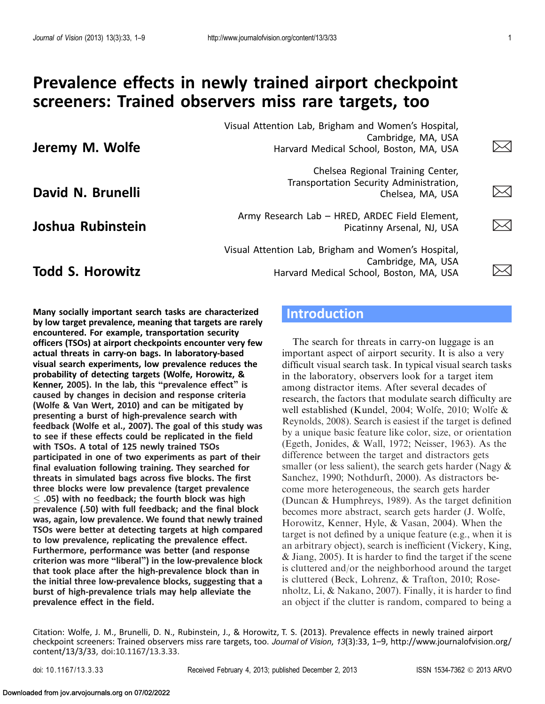**Jeremy M. Wolfe**  $\sum$  **Harvard Medical School, Boston, MA, USA** Visual Attention Lab, Brigham and Women's Hospital, Cambridge, MA, USA

**David N. Brunelli**  $\sim$   $\sim$   $\sim$   $\sim$   $\sim$   $\sim$   $\sim$ Chelsea Regional Training Center, Transportation Security Administration, Chelsea, MA, USA

Army Research Lab – HRED, ARDEC Field Element,<br> **Joshua Rubinstein** Magnetian Magnetic Picatinny Arsenal. NJ. USA Picatinny Arsenal, NJ, USA

**Todd S. Horowitz**  $\qquad \qquad$  Harvard Medical School, Boston, MA, USA  $\qquad \qquad \qquad$ Visual Attention Lab, Brigham and Women's Hospital, Cambridge, MA, USA

Many socially important search tasks are characterized by low target prevalence, meaning that targets are rarely encountered. For example, transportation security officers (TSOs) at airport checkpoints encounter very few actual threats in carry-on bags. In laboratory-based visual search experiments, low prevalence reduces the probability of detecting targets (Wolfe, Horowitz, & Kenner, [2005\)](#page-8-0). In the lab, this ''prevalence effect'' is caused by changes in decision and response criteria (Wolfe & Van Wert, [2010\)](#page-8-0) and can be mitigated by presenting a burst of high-prevalence search with feedback (Wolfe et al., [2007](#page-8-0)). The goal of this study was to see if these effects could be replicated in the field with TSOs. A total of 125 newly trained TSOs participated in one of two experiments as part of their final evaluation following training. They searched for threats in simulated bags across five blocks. The first three blocks were low prevalence (target prevalence  $\le$  .05) with no feedback; the fourth block was high prevalence (.50) with full feedback; and the final block was, again, low prevalence. We found that newly trained TSOs were better at detecting targets at high compared to low prevalence, replicating the prevalence effect. Furthermore, performance was better (and response criterion was more ''liberal'') in the low-prevalence block that took place after the high-prevalence block than in the initial three low-prevalence blocks, suggesting that a burst of high-prevalence trials may help alleviate the prevalence effect in the field.

## Introduction

The search for threats in carry-on luggage is an important aspect of airport security. It is also a very difficult visual search task. In typical visual search tasks in the laboratory, observers look for a target item among distractor items. After several decades of research, the factors that modulate search difficulty are well established (Kundel, [2004](#page-7-0); Wolfe, [2010](#page-8-0); Wolfe & Reynolds, [2008\)](#page-8-0). Search is easiest if the target is defined by a unique basic feature like color, size, or orientation (Egeth, Jonides, & Wall, [1972;](#page-7-0) Neisser, [1963](#page-8-0)). As the difference between the target and distractors gets smaller (or less salient), the search gets harder (Nagy  $\&$ Sanchez, [1990](#page-8-0); Nothdurft, [2000\)](#page-8-0). As distractors become more heterogeneous, the search gets harder (Duncan & Humphreys, [1989](#page-7-0)). As the target definition becomes more abstract, search gets harder (J. Wolfe, Horowitz, Kenner, Hyle, & Vasan, [2004](#page-8-0)). When the target is not defined by a unique feature (e.g., when it is an arbitrary object), search is inefficient (Vickery, King, & Jiang, [2005](#page-8-0)). It is harder to find the target if the scene is cluttered and/or the neighborhood around the target is cluttered (Beck, Lohrenz, & Trafton, [2010](#page-7-0); Rosenholtz, Li, & Nakano, [2007](#page-8-0)). Finally, it is harder to find an object if the clutter is random, compared to being a

Citation: Wolfe, J. M., Brunelli, D. N., Rubinstein, J., & Horowitz, T. S. (2013). Prevalence effects in newly trained airport checkpoint screeners: Trained observers miss rare targets, too. Journal of Vision, 13(3):33, 1–9, http://www.journalofvision.org/ content/13/3/33, doi:10.1167/13.3.33.

Downloaded from jov.arvojournals.org on 07/02/2022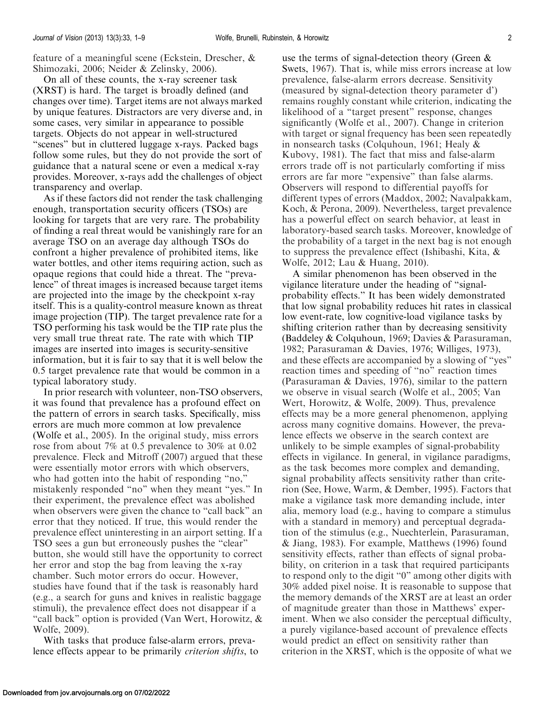feature of a meaningful scene (Eckstein, Drescher, & Shimozaki, [2006;](#page-7-0) Neider & Zelinsky, [2006](#page-8-0)).

On all of these counts, the x-ray screener task (XRST) is hard. The target is broadly defined (and changes over time). Target items are not always marked by unique features. Distractors are very diverse and, in some cases, very similar in appearance to possible targets. Objects do not appear in well-structured "scenes" but in cluttered luggage x-rays. Packed bags follow some rules, but they do not provide the sort of guidance that a natural scene or even a medical x-ray provides. Moreover, x-rays add the challenges of object transparency and overlap.

As if these factors did not render the task challenging enough, transportation security officers (TSOs) are looking for targets that are very rare. The probability of finding a real threat would be vanishingly rare for an average TSO on an average day although TSOs do confront a higher prevalence of prohibited items, like water bottles, and other items requiring action, such as opaque regions that could hide a threat. The ''prevalence'' of threat images is increased because target items are projected into the image by the checkpoint x-ray itself. This is a quality-control measure known as threat image projection (TIP). The target prevalence rate for a TSO performing his task would be the TIP rate plus the very small true threat rate. The rate with which TIP images are inserted into images is security-sensitive information, but it is fair to say that it is well below the 0.5 target prevalence rate that would be common in a typical laboratory study.

In prior research with volunteer, non-TSO observers, it was found that prevalence has a profound effect on the pattern of errors in search tasks. Specifically, miss errors are much more common at low prevalence (Wolfe et al., [2005\)](#page-8-0). In the original study, miss errors rose from about 7% at 0.5 prevalence to 30% at 0.02 prevalence. Fleck and Mitroff [\(2007\)](#page-7-0) argued that these were essentially motor errors with which observers, who had gotten into the habit of responding "no," mistakenly responded ''no'' when they meant ''yes.'' In their experiment, the prevalence effect was abolished when observers were given the chance to "call back" an error that they noticed. If true, this would render the prevalence effect uninteresting in an airport setting. If a TSO sees a gun but erroneously pushes the ''clear'' button, she would still have the opportunity to correct her error and stop the bag from leaving the x-ray chamber. Such motor errors do occur. However, studies have found that if the task is reasonably hard (e.g., a search for guns and knives in realistic baggage stimuli), the prevalence effect does not disappear if a "call back" option is provided (Van Wert, Horowitz, & Wolfe, [2009\)](#page-8-0).

With tasks that produce false-alarm errors, prevalence effects appear to be primarily *criterion shifts*, to use the terms of signal-detection theory (Green & Swets, [1967\)](#page-7-0). That is, while miss errors increase at low prevalence, false-alarm errors decrease. Sensitivity (measured by signal-detection theory parameter d') remains roughly constant while criterion, indicating the likelihood of a ''target present'' response, changes significantly (Wolfe et al., [2007](#page-8-0)). Change in criterion with target or signal frequency has been seen repeatedly in nonsearch tasks (Colquhoun, [1961](#page-7-0); Healy & Kubovy, [1981\)](#page-7-0). The fact that miss and false-alarm errors trade off is not particularly comforting if miss errors are far more ''expensive'' than false alarms. Observers will respond to differential payoffs for different types of errors (Maddox, [2002;](#page-7-0) Navalpakkam, Koch, & Perona, [2009](#page-8-0)). Nevertheless, target prevalence has a powerful effect on search behavior, at least in laboratory-based search tasks. Moreover, knowledge of the probability of a target in the next bag is not enough to suppress the prevalence effect (Ishibashi, Kita, & Wolfe, [2012;](#page-7-0) Lau & Huang, [2010](#page-7-0)).

A similar phenomenon has been observed in the vigilance literature under the heading of ''signalprobability effects.'' It has been widely demonstrated that low signal probability reduces hit rates in classical low event-rate, low cognitive-load vigilance tasks by shifting criterion rather than by decreasing sensitivity (Baddeley & Colquhoun, [1969](#page-7-0); Davies & Parasuraman, [1982;](#page-7-0) Parasuraman & Davies, [1976;](#page-8-0) Williges, [1973](#page-8-0)), and these effects are accompanied by a slowing of ''yes'' reaction times and speeding of ''no'' reaction times (Parasuraman & Davies, [1976](#page-8-0)), similar to the pattern we observe in visual search (Wolfe et al., [2005;](#page-8-0) Van Wert, Horowitz, & Wolfe, [2009](#page-8-0)). Thus, prevalence effects may be a more general phenomenon, applying across many cognitive domains. However, the prevalence effects we observe in the search context are unlikely to be simple examples of signal-probability effects in vigilance. In general, in vigilance paradigms, as the task becomes more complex and demanding, signal probability affects sensitivity rather than criterion (See, Howe, Warm, & Dember, [1995\)](#page-8-0). Factors that make a vigilance task more demanding include, inter alia, memory load (e.g., having to compare a stimulus with a standard in memory) and perceptual degradation of the stimulus (e.g., Nuechterlein, Parasuraman, & Jiang, [1983](#page-8-0)). For example, Matthews ([1996\)](#page-7-0) found sensitivity effects, rather than effects of signal probability, on criterion in a task that required participants to respond only to the digit ''0'' among other digits with 30% added pixel noise. It is reasonable to suppose that the memory demands of the XRST are at least an order of magnitude greater than those in Matthews' experiment. When we also consider the perceptual difficulty, a purely vigilance-based account of prevalence effects would predict an effect on sensitivity rather than criterion in the XRST, which is the opposite of what we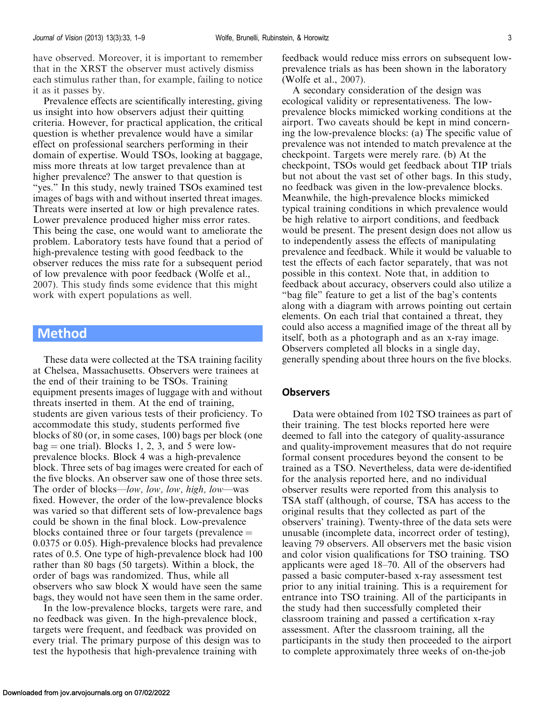<span id="page-2-0"></span>have observed. Moreover, it is important to remember that in the XRST the observer must actively dismiss each stimulus rather than, for example, failing to notice it as it passes by.

Prevalence effects are scientifically interesting, giving us insight into how observers adjust their quitting criteria. However, for practical application, the critical question is whether prevalence would have a similar effect on professional searchers performing in their domain of expertise. Would TSOs, looking at baggage, miss more threats at low target prevalence than at higher prevalence? The answer to that question is "yes." In this study, newly trained TSOs examined test images of bags with and without inserted threat images. Threats were inserted at low or high prevalence rates. Lower prevalence produced higher miss error rates. This being the case, one would want to ameliorate the problem. Laboratory tests have found that a period of high-prevalence testing with good feedback to the observer reduces the miss rate for a subsequent period of low prevalence with poor feedback (Wolfe et al., [2007\)](#page-8-0). This study finds some evidence that this might work with expert populations as well.

## Method

These data were collected at the TSA training facility at Chelsea, Massachusetts. Observers were trainees at the end of their training to be TSOs. Training equipment presents images of luggage with and without threats inserted in them. At the end of training, students are given various tests of their proficiency. To accommodate this study, students performed five blocks of 80 (or, in some cases, 100) bags per block (one  $bag = one trial$ . Blocks 1, 2, 3, and 5 were lowprevalence blocks. Block 4 was a high-prevalence block. Three sets of bag images were created for each of the five blocks. An observer saw one of those three sets. The order of blocks—low, low, low, high, low—was fixed. However, the order of the low-prevalence blocks was varied so that different sets of low-prevalence bags could be shown in the final block. Low-prevalence blocks contained three or four targets (prevalence  $=$ 0.0375 or 0.05). High-prevalence blocks had prevalence rates of 0.5. One type of high-prevalence block had 100 rather than 80 bags (50 targets). Within a block, the order of bags was randomized. Thus, while all observers who saw block X would have seen the same bags, they would not have seen them in the same order.

In the low-prevalence blocks, targets were rare, and no feedback was given. In the high-prevalence block, targets were frequent, and feedback was provided on every trial. The primary purpose of this design was to test the hypothesis that high-prevalence training with

feedback would reduce miss errors on subsequent lowprevalence trials as has been shown in the laboratory (Wolfe et al., [2007\)](#page-8-0).

A secondary consideration of the design was ecological validity or representativeness. The lowprevalence blocks mimicked working conditions at the airport. Two caveats should be kept in mind concerning the low-prevalence blocks: (a) The specific value of prevalence was not intended to match prevalence at the checkpoint. Targets were merely rare. (b) At the checkpoint, TSOs would get feedback about TIP trials but not about the vast set of other bags. In this study, no feedback was given in the low-prevalence blocks. Meanwhile, the high-prevalence blocks mimicked typical training conditions in which prevalence would be high relative to airport conditions, and feedback would be present. The present design does not allow us to independently assess the effects of manipulating prevalence and feedback. While it would be valuable to test the effects of each factor separately, that was not possible in this context. Note that, in addition to feedback about accuracy, observers could also utilize a "bag file" feature to get a list of the bag's contents along with a diagram with arrows pointing out certain elements. On each trial that contained a threat, they could also access a magnified image of the threat all by itself, both as a photograph and as an x-ray image. Observers completed all blocks in a single day, generally spending about three hours on the five blocks.

#### **Observers**

Data were obtained from 102 TSO trainees as part of their training. The test blocks reported here were deemed to fall into the category of quality-assurance and quality-improvement measures that do not require formal consent procedures beyond the consent to be trained as a TSO. Nevertheless, data were de-identified for the analysis reported here, and no individual observer results were reported from this analysis to TSA staff (although, of course, TSA has access to the original results that they collected as part of the observers' training). Twenty-three of the data sets were unusable (incomplete data, incorrect order of testing), leaving 79 observers. All observers met the basic vision and color vision qualifications for TSO training. TSO applicants were aged 18–70. All of the observers had passed a basic computer-based x-ray assessment test prior to any initial training. This is a requirement for entrance into TSO training. All of the participants in the study had then successfully completed their classroom training and passed a certification x-ray assessment. After the classroom training, all the participants in the study then proceeded to the airport to complete approximately three weeks of on-the-job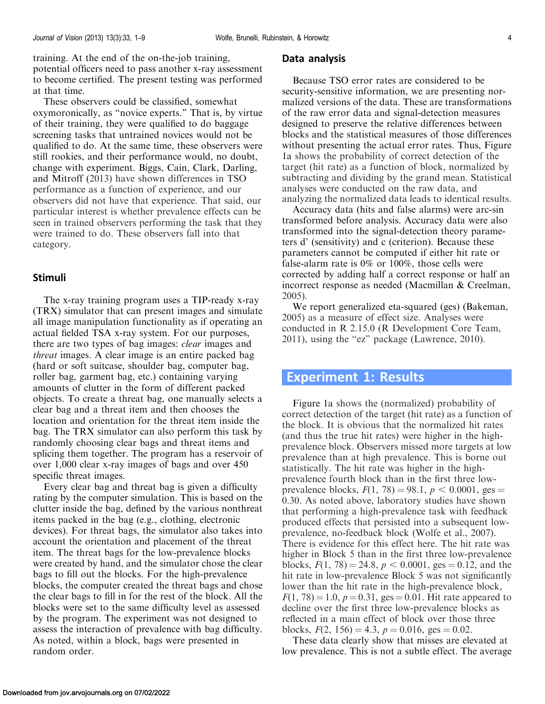<span id="page-3-0"></span>training. At the end of the on-the-job training, potential officers need to pass another x-ray assessment to become certified. The present testing was performed at that time.

These observers could be classified, somewhat oxymoronically, as ''novice experts.'' That is, by virtue of their training, they were qualified to do baggage screening tasks that untrained novices would not be qualified to do. At the same time, these observers were still rookies, and their performance would, no doubt, change with experiment. Biggs, Cain, Clark, Darling, and Mitroff ([2013](#page-7-0)) have shown differences in TSO performance as a function of experience, and our observers did not have that experience. That said, our particular interest is whether prevalence effects can be seen in trained observers performing the task that they were trained to do. These observers fall into that category.

#### Stimuli

The x-ray training program uses a TIP-ready x-ray (TRX) simulator that can present images and simulate all image manipulation functionality as if operating an actual fielded TSA x-ray system. For our purposes, there are two types of bag images: clear images and threat images. A clear image is an entire packed bag (hard or soft suitcase, shoulder bag, computer bag, roller bag, garment bag, etc.) containing varying amounts of clutter in the form of different packed objects. To create a threat bag, one manually selects a clear bag and a threat item and then chooses the location and orientation for the threat item inside the bag. The TRX simulator can also perform this task by randomly choosing clear bags and threat items and splicing them together. The program has a reservoir of over 1,000 clear x-ray images of bags and over 450 specific threat images.

Every clear bag and threat bag is given a difficulty rating by the computer simulation. This is based on the clutter inside the bag, defined by the various nonthreat items packed in the bag (e.g., clothing, electronic devices). For threat bags, the simulator also takes into account the orientation and placement of the threat item. The threat bags for the low-prevalence blocks were created by hand, and the simulator chose the clear bags to fill out the blocks. For the high-prevalence blocks, the computer created the threat bags and chose the clear bags to fill in for the rest of the block. All the blocks were set to the same difficulty level as assessed by the program. The experiment was not designed to assess the interaction of prevalence with bag difficulty. As noted, within a block, bags were presented in random order.

#### Data analysis

Because TSO error rates are considered to be security-sensitive information, we are presenting normalized versions of the data. These are transformations of the raw error data and signal-detection measures designed to preserve the relative differences between blocks and the statistical measures of those differences without presenting the actual error rates. Thus, [Figure](#page-4-0) [1a](#page-4-0) shows the probability of correct detection of the target (hit rate) as a function of block, normalized by subtracting and dividing by the grand mean. Statistical analyses were conducted on the raw data, and analyzing the normalized data leads to identical results.

Accuracy data (hits and false alarms) were arc-sin transformed before analysis. Accuracy data were also transformed into the signal-detection theory parameters d' (sensitivity) and c (criterion). Because these parameters cannot be computed if either hit rate or false-alarm rate is 0% or 100%, those cells were corrected by adding half a correct response or half an incorrect response as needed (Macmillan & Creelman, [2005\)](#page-7-0).

We report generalized eta-squared (ges) (Bakeman, [2005\)](#page-7-0) as a measure of effect size. Analyses were conducted in R 2.15.0 (R Development Core Team, [2011\)](#page-8-0), using the ''ez'' package (Lawrence, [2010\)](#page-7-0).

## Experiment 1: Results

[Figure 1a](#page-4-0) shows the (normalized) probability of correct detection of the target (hit rate) as a function of the block. It is obvious that the normalized hit rates (and thus the true hit rates) were higher in the highprevalence block. Observers missed more targets at low prevalence than at high prevalence. This is borne out statistically. The hit rate was higher in the highprevalence fourth block than in the first three lowprevalence blocks,  $F(1, 78) = 98.1$ ,  $p < 0.0001$ , ges = 0.30. As noted above, laboratory studies have shown that performing a high-prevalence task with feedback produced effects that persisted into a subsequent lowprevalence, no-feedback block (Wolfe et al., [2007](#page-8-0)). There is evidence for this effect here. The hit rate was higher in Block 5 than in the first three low-prevalence blocks,  $F(1, 78) = 24.8$ ,  $p < 0.0001$ , ges  $= 0.12$ , and the hit rate in low-prevalence Block 5 was not significantly lower than the hit rate in the high-prevalence block,  $F(1, 78) = 1.0, p = 0.31, \text{ges} = 0.01$ . Hit rate appeared to decline over the first three low-prevalence blocks as reflected in a main effect of block over those three blocks,  $F(2, 156) = 4.3$ ,  $p = 0.016$ , ges  $= 0.02$ .

These data clearly show that misses are elevated at low prevalence. This is not a subtle effect. The average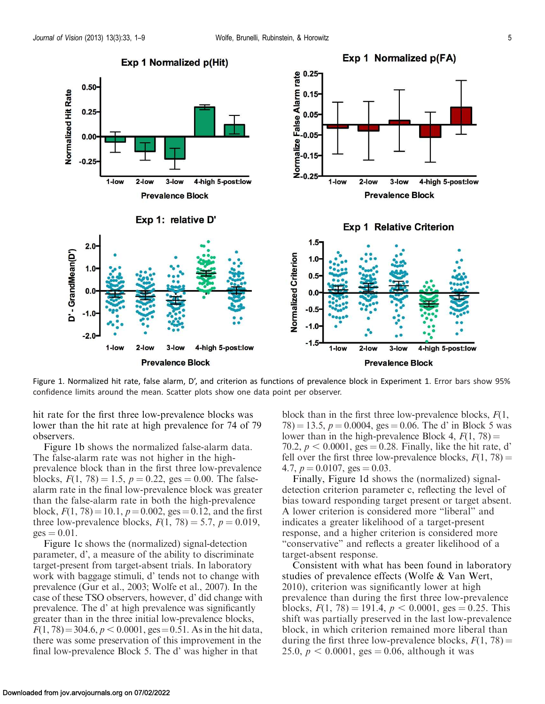<span id="page-4-0"></span>

Figure 1. Normalized hit rate, false alarm, D', and criterion as functions of prevalence block in [Experiment 1](#page-3-0). Error bars show 95% confidence limits around the mean. Scatter plots show one data point per observer.

hit rate for the first three low-prevalence blocks was lower than the hit rate at high prevalence for 74 of 79 observers.

Figure 1b shows the normalized false-alarm data. The false-alarm rate was not higher in the highprevalence block than in the first three low-prevalence blocks,  $F(1, 78) = 1.5$ ,  $p = 0.22$ , ges  $= 0.00$ . The falsealarm rate in the final low-prevalence block was greater than the false-alarm rate in both the high-prevalence block,  $F(1, 78) = 10.1$ ,  $p = 0.002$ , ges = 0.12, and the first three low-prevalence blocks,  $F(1, 78) = 5.7$ ,  $p = 0.019$ ,  $ges = 0.01$ .

Figure 1c shows the (normalized) signal-detection parameter, d', a measure of the ability to discriminate target-present from target-absent trials. In laboratory work with baggage stimuli, d' tends not to change with prevalence (Gur et al., [2003;](#page-7-0) Wolfe et al., [2007\)](#page-8-0). In the case of these TSO observers, however, d' did change with prevalence. The d' at high prevalence was significantly greater than in the three initial low-prevalence blocks,  $F(1, 78) = 304.6, p < 0.0001, \text{ges} = 0.51$ . As in the hit data, there was some preservation of this improvement in the final low-prevalence Block 5. The d' was higher in that

block than in the first three low-prevalence blocks,  $F(1, \cdot)$  $78$ ) = 13.5, p = 0.0004, ges = 0.06. The d' in Block 5 was lower than in the high-prevalence Block 4,  $F(1, 78) =$ 70.2,  $p < 0.0001$ , ges = 0.28. Finally, like the hit rate, d' fell over the first three low-prevalence blocks,  $F(1, 78) =$ 4.7,  $p = 0.0107$ , ges  $= 0.03$ .

Finally, Figure 1d shows the (normalized) signaldetection criterion parameter c, reflecting the level of bias toward responding target present or target absent. A lower criterion is considered more ''liberal'' and indicates a greater likelihood of a target-present response, and a higher criterion is considered more ''conservative'' and reflects a greater likelihood of a target-absent response.

Consistent with what has been found in laboratory studies of prevalence effects (Wolfe & Van Wert, [2010](#page-8-0)), criterion was significantly lower at high prevalence than during the first three low-prevalence blocks,  $F(1, 78) = 191.4$ ,  $p < 0.0001$ , ges  $= 0.25$ . This shift was partially preserved in the last low-prevalence block, in which criterion remained more liberal than during the first three low-prevalence blocks,  $F(1, 78) =$ 25.0,  $p < 0.0001$ , ges = 0.06, although it was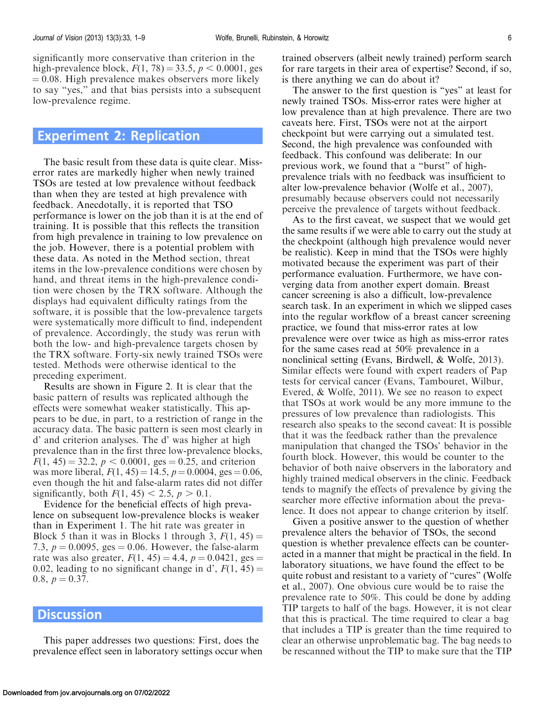<span id="page-5-0"></span>significantly more conservative than criterion in the high-prevalence block,  $F(1, 78) = 33.5, p < 0.0001$ , ges  $= 0.08$ . High prevalence makes observers more likely to say ''yes,'' and that bias persists into a subsequent low-prevalence regime.

# Experiment 2: Replication

The basic result from these data is quite clear. Misserror rates are markedly higher when newly trained TSOs are tested at low prevalence without feedback than when they are tested at high prevalence with feedback. Anecdotally, it is reported that TSO performance is lower on the job than it is at the end of training. It is possible that this reflects the transition from high prevalence in training to low prevalence on the job. However, there is a potential problem with these data. As noted in the [Method](#page-2-0) section, threat items in the low-prevalence conditions were chosen by hand, and threat items in the high-prevalence condition were chosen by the TRX software. Although the displays had equivalent difficulty ratings from the software, it is possible that the low-prevalence targets were systematically more difficult to find, independent of prevalence. Accordingly, the study was rerun with both the low- and high-prevalence targets chosen by the TRX software. Forty-six newly trained TSOs were tested. Methods were otherwise identical to the preceding experiment.

Results are shown in [Figure 2.](#page-6-0) It is clear that the basic pattern of results was replicated although the effects were somewhat weaker statistically. This appears to be due, in part, to a restriction of range in the accuracy data. The basic pattern is seen most clearly in d' and criterion analyses. The d' was higher at high prevalence than in the first three low-prevalence blocks,  $F(1, 45) = 32.2, p < 0.0001, \text{ges} = 0.25, \text{ and criterion}$ was more liberal,  $F(1, 45) = 14.5$ ,  $p = 0.0004$ , ges  $= 0.06$ , even though the hit and false-alarm rates did not differ significantly, both  $F(1, 45) < 2.5$ ,  $p > 0.1$ .

Evidence for the beneficial effects of high prevalence on subsequent low-prevalence blocks is weaker than in [Experiment 1.](#page-3-0) The hit rate was greater in Block 5 than it was in Blocks 1 through 3,  $F(1, 45) =$ 7.3,  $p = 0.0095$ , ges = 0.06. However, the false-alarm rate was also greater,  $F(1, 45) = 4.4$ ,  $p = 0.0421$ , ges = 0.02, leading to no significant change in d',  $F(1, 45) =$ 0.8,  $p = 0.37$ .

### **Discussion**

This paper addresses two questions: First, does the prevalence effect seen in laboratory settings occur when trained observers (albeit newly trained) perform search for rare targets in their area of expertise? Second, if so, is there anything we can do about it?

The answer to the first question is ''yes'' at least for newly trained TSOs. Miss-error rates were higher at low prevalence than at high prevalence. There are two caveats here. First, TSOs were not at the airport checkpoint but were carrying out a simulated test. Second, the high prevalence was confounded with feedback. This confound was deliberate: In our previous work, we found that a ''burst'' of highprevalence trials with no feedback was insufficient to alter low-prevalence behavior (Wolfe et al., [2007](#page-8-0)), presumably because observers could not necessarily perceive the prevalence of targets without feedback.

As to the first caveat, we suspect that we would get the same results if we were able to carry out the study at the checkpoint (although high prevalence would never be realistic). Keep in mind that the TSOs were highly motivated because the experiment was part of their performance evaluation. Furthermore, we have converging data from another expert domain. Breast cancer screening is also a difficult, low-prevalence search task. In an experiment in which we slipped cases into the regular workflow of a breast cancer screening practice, we found that miss-error rates at low prevalence were over twice as high as miss-error rates for the same cases read at 50% prevalence in a nonclinical setting (Evans, Birdwell, & Wolfe, [2013\)](#page-7-0). Similar effects were found with expert readers of Pap tests for cervical cancer (Evans, Tambouret, Wilbur, Evered, & Wolfe, [2011](#page-7-0)). We see no reason to expect that TSOs at work would be any more immune to the pressures of low prevalence than radiologists. This research also speaks to the second caveat: It is possible that it was the feedback rather than the prevalence manipulation that changed the TSOs' behavior in the fourth block. However, this would be counter to the behavior of both naive observers in the laboratory and highly trained medical observers in the clinic. Feedback tends to magnify the effects of prevalence by giving the searcher more effective information about the prevalence. It does not appear to change criterion by itself.

Given a positive answer to the question of whether prevalence alters the behavior of TSOs, the second question is whether prevalence effects can be counteracted in a manner that might be practical in the field. In laboratory situations, we have found the effect to be quite robust and resistant to a variety of ''cures'' (Wolfe et al., [2007\)](#page-8-0). One obvious cure would be to raise the prevalence rate to 50%. This could be done by adding TIP targets to half of the bags. However, it is not clear that this is practical. The time required to clear a bag that includes a TIP is greater than the time required to clear an otherwise unproblematic bag. The bag needs to be rescanned without the TIP to make sure that the TIP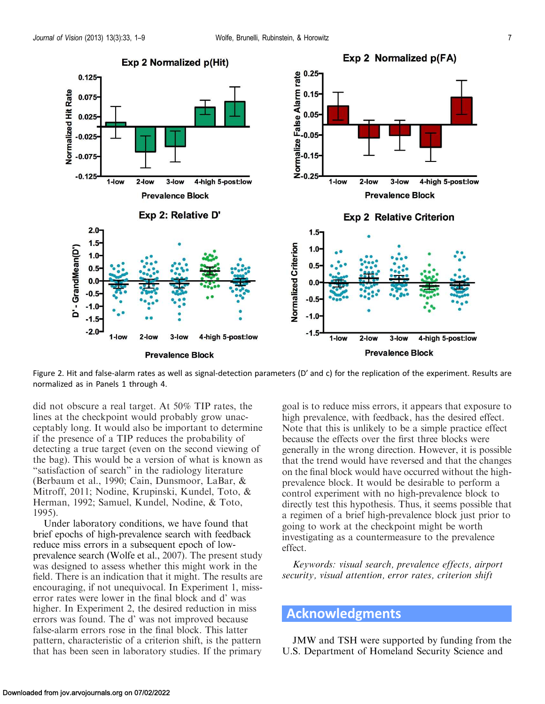<span id="page-6-0"></span>![](_page_6_Figure_2.jpeg)

Figure 2. Hit and false-alarm rates as well as signal-detection parameters (D' and c) for the replication of the experiment. Results are normalized as in Panels 1 through 4.

did not obscure a real target. At 50% TIP rates, the lines at the checkpoint would probably grow unacceptably long. It would also be important to determine if the presence of a TIP reduces the probability of detecting a true target (even on the second viewing of the bag). This would be a version of what is known as "satisfaction of search" in the radiology literature (Berbaum et al., [1990](#page-7-0); Cain, Dunsmoor, LaBar, & Mitroff, [2011;](#page-7-0) Nodine, Krupinski, Kundel, Toto, & Herman, [1992](#page-8-0); Samuel, Kundel, Nodine, & Toto, [1995\)](#page-8-0).

Under laboratory conditions, we have found that brief epochs of high-prevalence search with feedback reduce miss errors in a subsequent epoch of lowprevalence search (Wolfe et al., [2007\)](#page-8-0). The present study was designed to assess whether this might work in the field. There is an indication that it might. The results are encouraging, if not unequivocal. In [Experiment 1](#page-3-0), misserror rates were lower in the final block and d' was higher. In [Experiment 2](#page-5-0), the desired reduction in miss errors was found. The d' was not improved because false-alarm errors rose in the final block. This latter pattern, characteristic of a criterion shift, is the pattern that has been seen in laboratory studies. If the primary

goal is to reduce miss errors, it appears that exposure to high prevalence, with feedback, has the desired effect. Note that this is unlikely to be a simple practice effect because the effects over the first three blocks were generally in the wrong direction. However, it is possible that the trend would have reversed and that the changes on the final block would have occurred without the highprevalence block. It would be desirable to perform a control experiment with no high-prevalence block to directly test this hypothesis. Thus, it seems possible that a regimen of a brief high-prevalence block just prior to going to work at the checkpoint might be worth investigating as a countermeasure to the prevalence effect.

Keywords: visual search, prevalence effects, airport security, visual attention, error rates, criterion shift

## Acknowledgments

JMW and TSH were supported by funding from the U.S. Department of Homeland Security Science and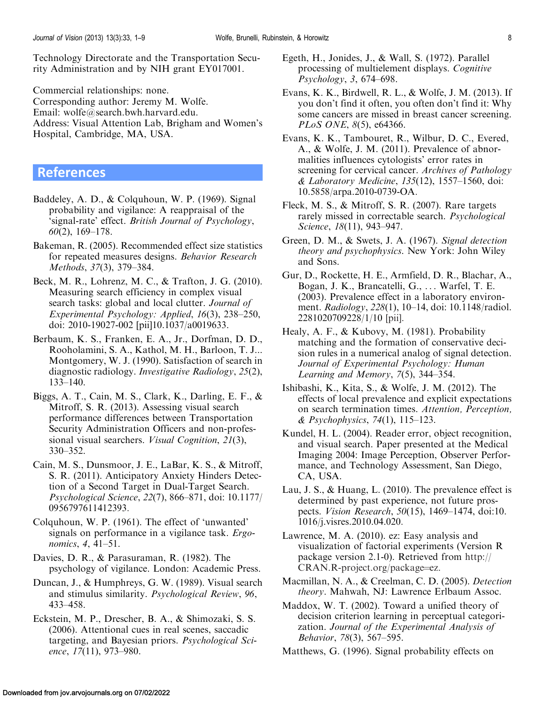<span id="page-7-0"></span>Technology Directorate and the Transportation Security Administration and by NIH grant EY017001.

Commercial relationships: none. Corresponding author: Jeremy M. Wolfe. Email: wolfe@search.bwh.harvard.edu. Address: Visual Attention Lab, Brigham and Women's Hospital, Cambridge, MA, USA.

## References

- Baddeley, A. D., & Colquhoun, W. P. (1969). Signal probability and vigilance: A reappraisal of the 'signal-rate' effect. British Journal of Psychology, 60(2), 169–178.
- Bakeman, R. (2005). Recommended effect size statistics for repeated measures designs. Behavior Research Methods, 37(3), 379–384.
- Beck, M. R., Lohrenz, M. C., & Trafton, J. G. (2010). Measuring search efficiency in complex visual search tasks: global and local clutter. Journal of Experimental Psychology: Applied, 16(3), 238–250, doi: 2010-19027-002 [pii]10.1037/a0019633.
- Berbaum, K. S., Franken, E. A., Jr., Dorfman, D. D., Rooholamini, S. A., Kathol, M. H., Barloon, T. J... Montgomery, W. J. (1990). Satisfaction of search in diagnostic radiology. Investigative Radiology, 25(2), 133–140.
- Biggs, A. T., Cain, M. S., Clark, K., Darling, E. F., & Mitroff, S. R. (2013). Assessing visual search performance differences between Transportation Security Administration Officers and non-professional visual searchers. *Visual Cognition*, 21(3), 330–352.
- Cain, M. S., Dunsmoor, J. E., LaBar, K. S., & Mitroff, S. R. (2011). Anticipatory Anxiety Hinders Detection of a Second Target in Dual-Target Search. Psychological Science, 22(7), 866–871, doi: 10.1177/ 0956797611412393.
- Colquhoun, W. P. (1961). The effect of 'unwanted' signals on performance in a vigilance task. Ergonomics, 4, 41–51.
- Davies, D. R., & Parasuraman, R. (1982). The psychology of vigilance. London: Academic Press.
- Duncan, J., & Humphreys, G. W. (1989). Visual search and stimulus similarity. Psychological Review, 96, 433–458.
- Eckstein, M. P., Drescher, B. A., & Shimozaki, S. S. (2006). Attentional cues in real scenes, saccadic targeting, and Bayesian priors. Psychological Science, 17(11), 973–980.
- Egeth, H., Jonides, J., & Wall, S. (1972). Parallel processing of multielement displays. Cognitive Psychology, 3, 674–698.
- Evans, K. K., Birdwell, R. L., & Wolfe, J. M. (2013). If you don't find it often, you often don't find it: Why some cancers are missed in breast cancer screening. PLoS ONE, 8(5), e64366.
- Evans, K. K., Tambouret, R., Wilbur, D. C., Evered, A., & Wolfe, J. M. (2011). Prevalence of abnormalities influences cytologists' error rates in screening for cervical cancer. Archives of Pathology & Laboratory Medicine, 135(12), 1557–1560, doi: 10.5858/arpa.2010-0739-OA.
- Fleck, M. S., & Mitroff, S. R. (2007). Rare targets rarely missed in correctable search. Psychological Science, 18(11), 943–947.
- Green, D. M., & Swets, J. A. (1967). Signal detection theory and psychophysics. New York: John Wiley and Sons.
- Gur, D., Rockette, H. E., Armfield, D. R., Blachar, A., Bogan, J. K., Brancatelli, G., . . . Warfel, T. E. (2003). Prevalence effect in a laboratory environment. Radiology, 228(1), 10–14, doi: 10.1148/radiol. 2281020709228/1/10 [pii].
- Healy, A. F., & Kubovy, M. (1981). Probability matching and the formation of conservative decision rules in a numerical analog of signal detection. Journal of Experimental Psychology: Human Learning and Memory, 7(5), 344–354.
- Ishibashi, K., Kita, S., & Wolfe, J. M. (2012). The effects of local prevalence and explicit expectations on search termination times. Attention, Perception, & Psychophysics, 74(1), 115–123.
- Kundel, H. L. (2004). Reader error, object recognition, and visual search. Paper presented at the Medical Imaging 2004: Image Perception, Observer Performance, and Technology Assessment, San Diego, CA, USA.
- Lau, J. S., & Huang, L. (2010). The prevalence effect is determined by past experience, not future prospects. Vision Research, 50(15), 1469–1474, doi:10. 1016/j.visres.2010.04.020.
- Lawrence, M. A. (2010). ez: Easy analysis and visualization of factorial experiments (Version R package version 2.1-0). Retrieved from [http://](http://CRAN.R-project.org/package=ez)  $CRAN.R$ -project.org/package=[ez](http://CRAN.R-project.org/package=ez).
- Macmillan, N. A., & Creelman, C. D. (2005). Detection theory. Mahwah, NJ: Lawrence Erlbaum Assoc.
- Maddox, W. T. (2002). Toward a unified theory of decision criterion learning in perceptual categorization. Journal of the Experimental Analysis of Behavior, 78(3), 567–595.
- Matthews, G. (1996). Signal probability effects on